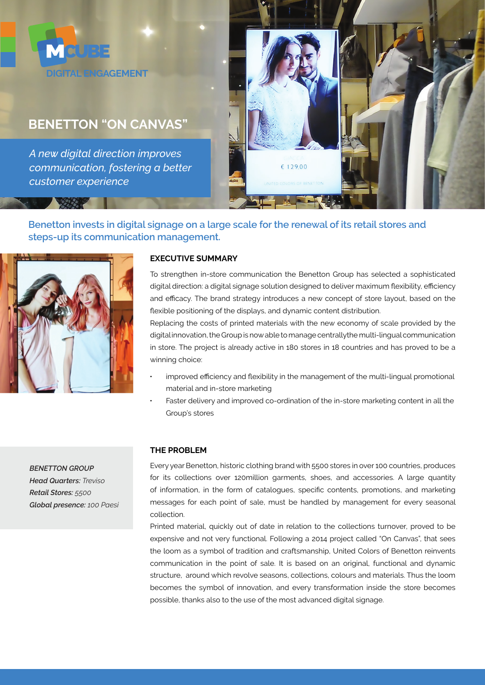

# **BENETTON "ON CANVAS"**

*A new digital direction improves communication, fostering a better customer experience*



# **Benetton invests in digital signage on a large scale for the renewal of its retail stores and steps-up its communication management.**



*BENETTON GROUP Head Quarters: Treviso Retail Stores: 5500 Global presence: 100 Paesi*

## **EXECUTIVE SUMMARY**

To strengthen in-store communication the Benetton Group has selected a sophisticated digital direction: a digital signage solution designed to deliver maximum flexibility, efficiency and efficacy. The brand strategy introduces a new concept of store layout, based on the flexible positioning of the displays, and dynamic content distribution.

Replacing the costs of printed materials with the new economy of scale provided by the digital innovation, the Group is now able to manage centrallythe multi-lingual communication in store. The project is already active in 180 stores in 18 countries and has proved to be a winning choice:

- improved efficiency and flexibility in the management of the multi-lingual promotional material and in-store marketing
- Faster delivery and improved co-ordination of the in-store marketing content in all the Group's stores

#### **THE PROBLEM**

Every year Benetton, historic clothing brand with 5500 stores in over 100 countries, produces for its collections over 120million garments, shoes, and accessories. A large quantity of information, in the form of catalogues, specific contents, promotions, and marketing messages for each point of sale, must be handled by management for every seasonal collection.

Printed material, quickly out of date in relation to the collections turnover, proved to be expensive and not very functional. Following a 2014 project called "On Canvas", that sees the loom as a symbol of tradition and craftsmanship, United Colors of Benetton reinvents communication in the point of sale. It is based on an original, functional and dynamic structure, around which revolve seasons, collections, colours and materials. Thus the loom becomes the symbol of innovation, and every transformation inside the store becomes possible, thanks also to the use of the most advanced digital signage.